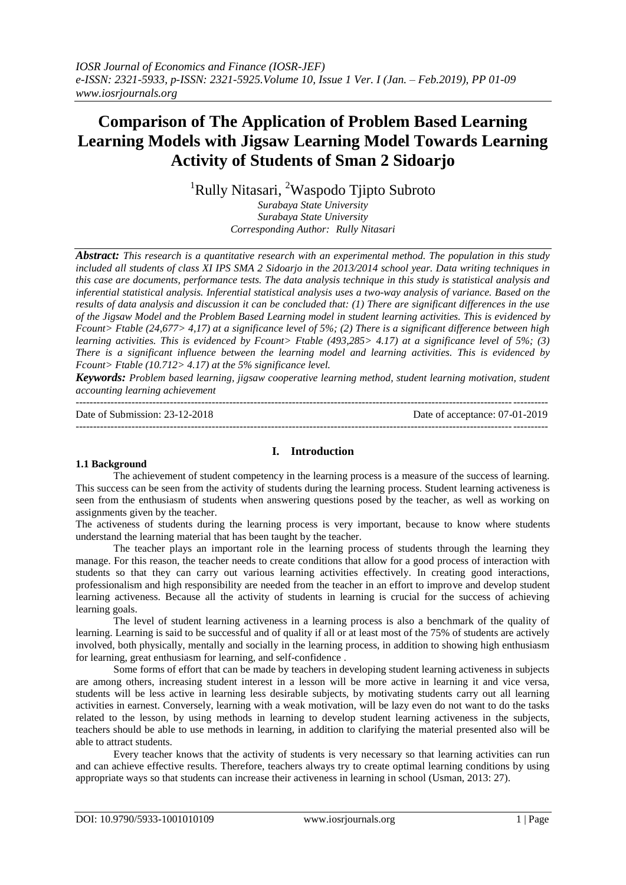# **Comparison of The Application of Problem Based Learning Learning Models with Jigsaw Learning Model Towards Learning Activity of Students of Sman 2 Sidoarjo**

<sup>1</sup>Rully Nitasari, <sup>2</sup>Waspodo Tjipto Subroto

*Surabaya State University Surabaya State University Corresponding Author: Rully Nitasari*

*Abstract: This research is a quantitative research with an experimental method. The population in this study included all students of class XI IPS SMA 2 Sidoarjo in the 2013/2014 school year. Data writing techniques in this case are documents, performance tests. The data analysis technique in this study is statistical analysis and inferential statistical analysis. Inferential statistical analysis uses a two-way analysis of variance. Based on the results of data analysis and discussion it can be concluded that: (1) There are significant differences in the use of the Jigsaw Model and the Problem Based Learning model in student learning activities. This is evidenced by Fcount> Ftable (24,677> 4,17) at a significance level of 5%; (2) There is a significant difference between high learning activities. This is evidenced by Fcount> Ftable (493,285> 4.17) at a significance level of 5%; (3) There is a significant influence between the learning model and learning activities. This is evidenced by Fcount> Ftable (10.712> 4.17) at the 5% significance level.*

*Keywords: Problem based learning, jigsaw cooperative learning method, student learning motivation, student accounting learning achievement*

| Date of Submission: $23-12-2018$ | Date of acceptance: 07-01-2019 |
|----------------------------------|--------------------------------|
|                                  |                                |

# **I. Introduction**

# **1.1 Background**

The achievement of student competency in the learning process is a measure of the success of learning. This success can be seen from the activity of students during the learning process. Student learning activeness is seen from the enthusiasm of students when answering questions posed by the teacher, as well as working on assignments given by the teacher.

The activeness of students during the learning process is very important, because to know where students understand the learning material that has been taught by the teacher.

The teacher plays an important role in the learning process of students through the learning they manage. For this reason, the teacher needs to create conditions that allow for a good process of interaction with students so that they can carry out various learning activities effectively. In creating good interactions, professionalism and high responsibility are needed from the teacher in an effort to improve and develop student learning activeness. Because all the activity of students in learning is crucial for the success of achieving learning goals.

The level of student learning activeness in a learning process is also a benchmark of the quality of learning. Learning is said to be successful and of quality if all or at least most of the 75% of students are actively involved, both physically, mentally and socially in the learning process, in addition to showing high enthusiasm for learning, great enthusiasm for learning, and self-confidence .

Some forms of effort that can be made by teachers in developing student learning activeness in subjects are among others, increasing student interest in a lesson will be more active in learning it and vice versa, students will be less active in learning less desirable subjects, by motivating students carry out all learning activities in earnest. Conversely, learning with a weak motivation, will be lazy even do not want to do the tasks related to the lesson, by using methods in learning to develop student learning activeness in the subjects, teachers should be able to use methods in learning, in addition to clarifying the material presented also will be able to attract students.

Every teacher knows that the activity of students is very necessary so that learning activities can run and can achieve effective results. Therefore, teachers always try to create optimal learning conditions by using appropriate ways so that students can increase their activeness in learning in school (Usman, 2013: 27).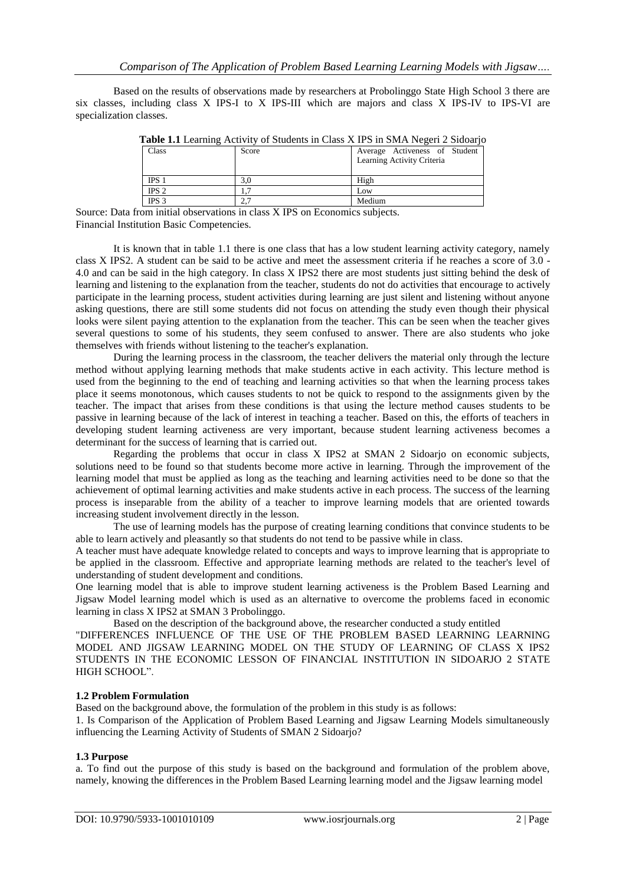Based on the results of observations made by researchers at Probolinggo State High School 3 there are six classes, including class X IPS-I to X IPS-III which are majors and class X IPS-IV to IPS-VI are specialization classes.

| Class            | Score    | Average Activeness of Student<br>Learning Activity Criteria |
|------------------|----------|-------------------------------------------------------------|
| IPS <sub>1</sub> | 3.0      | High                                                        |
| IPS <sub>2</sub> |          | Low                                                         |
| IPS <sub>3</sub> | <u>.</u> | Medium                                                      |

**Table 1.1** Learning Activity of Students in Class X IPS in SMA Negeri 2 Sidoarjo

Source: Data from initial observations in class X IPS on Economics subjects. Financial Institution Basic Competencies.

It is known that in table 1.1 there is one class that has a low student learning activity category, namely class X IPS2. A student can be said to be active and meet the assessment criteria if he reaches a score of 3.0 - 4.0 and can be said in the high category. In class X IPS2 there are most students just sitting behind the desk of learning and listening to the explanation from the teacher, students do not do activities that encourage to actively participate in the learning process, student activities during learning are just silent and listening without anyone asking questions, there are still some students did not focus on attending the study even though their physical looks were silent paying attention to the explanation from the teacher. This can be seen when the teacher gives several questions to some of his students, they seem confused to answer. There are also students who joke themselves with friends without listening to the teacher's explanation.

During the learning process in the classroom, the teacher delivers the material only through the lecture method without applying learning methods that make students active in each activity. This lecture method is used from the beginning to the end of teaching and learning activities so that when the learning process takes place it seems monotonous, which causes students to not be quick to respond to the assignments given by the teacher. The impact that arises from these conditions is that using the lecture method causes students to be passive in learning because of the lack of interest in teaching a teacher. Based on this, the efforts of teachers in developing student learning activeness are very important, because student learning activeness becomes a determinant for the success of learning that is carried out.

Regarding the problems that occur in class X IPS2 at SMAN 2 Sidoarjo on economic subjects, solutions need to be found so that students become more active in learning. Through the improvement of the learning model that must be applied as long as the teaching and learning activities need to be done so that the achievement of optimal learning activities and make students active in each process. The success of the learning process is inseparable from the ability of a teacher to improve learning models that are oriented towards increasing student involvement directly in the lesson.

The use of learning models has the purpose of creating learning conditions that convince students to be able to learn actively and pleasantly so that students do not tend to be passive while in class.

A teacher must have adequate knowledge related to concepts and ways to improve learning that is appropriate to be applied in the classroom. Effective and appropriate learning methods are related to the teacher's level of understanding of student development and conditions.

One learning model that is able to improve student learning activeness is the Problem Based Learning and Jigsaw Model learning model which is used as an alternative to overcome the problems faced in economic learning in class X IPS2 at SMAN 3 Probolinggo.

Based on the description of the background above, the researcher conducted a study entitled

"DIFFERENCES INFLUENCE OF THE USE OF THE PROBLEM BASED LEARNING LEARNING MODEL AND JIGSAW LEARNING MODEL ON THE STUDY OF LEARNING OF CLASS X IPS2 STUDENTS IN THE ECONOMIC LESSON OF FINANCIAL INSTITUTION IN SIDOARJO 2 STATE HIGH SCHOOL".

## **1.2 Problem Formulation**

Based on the background above, the formulation of the problem in this study is as follows:

1. Is Comparison of the Application of Problem Based Learning and Jigsaw Learning Models simultaneously influencing the Learning Activity of Students of SMAN 2 Sidoarjo?

## **1.3 Purpose**

a. To find out the purpose of this study is based on the background and formulation of the problem above, namely, knowing the differences in the Problem Based Learning learning model and the Jigsaw learning model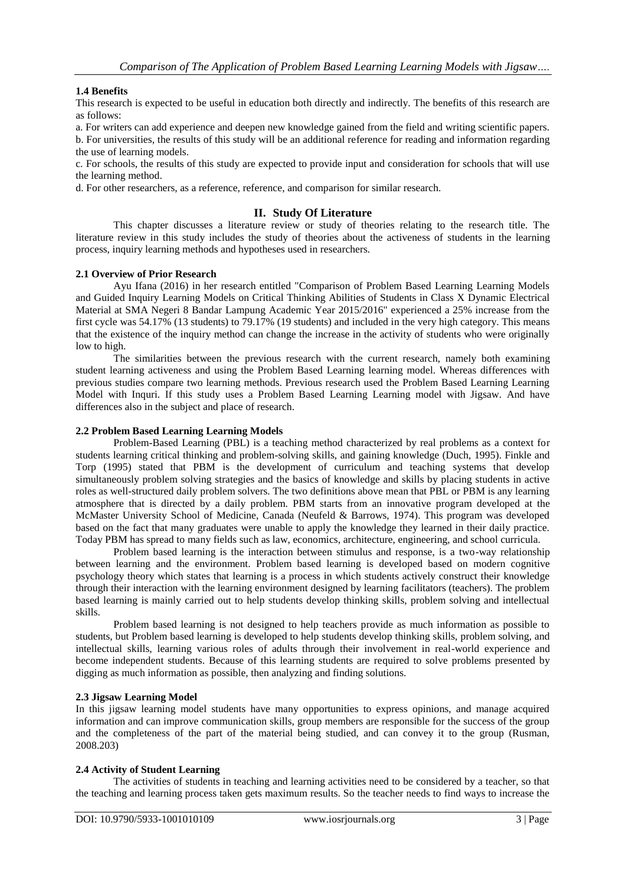## **1.4 Benefits**

This research is expected to be useful in education both directly and indirectly. The benefits of this research are as follows:

a. For writers can add experience and deepen new knowledge gained from the field and writing scientific papers.

b. For universities, the results of this study will be an additional reference for reading and information regarding the use of learning models.

c. For schools, the results of this study are expected to provide input and consideration for schools that will use the learning method.

d. For other researchers, as a reference, reference, and comparison for similar research.

## **II. Study Of Literature**

This chapter discusses a literature review or study of theories relating to the research title. The literature review in this study includes the study of theories about the activeness of students in the learning process, inquiry learning methods and hypotheses used in researchers.

## **2.1 Overview of Prior Research**

Ayu Ifana (2016) in her research entitled "Comparison of Problem Based Learning Learning Models and Guided Inquiry Learning Models on Critical Thinking Abilities of Students in Class X Dynamic Electrical Material at SMA Negeri 8 Bandar Lampung Academic Year 2015/2016" experienced a 25% increase from the first cycle was 54.17% (13 students) to 79.17% (19 students) and included in the very high category. This means that the existence of the inquiry method can change the increase in the activity of students who were originally low to high.

The similarities between the previous research with the current research, namely both examining student learning activeness and using the Problem Based Learning learning model. Whereas differences with previous studies compare two learning methods. Previous research used the Problem Based Learning Learning Model with Inquri. If this study uses a Problem Based Learning Learning model with Jigsaw. And have differences also in the subject and place of research.

## **2.2 Problem Based Learning Learning Models**

Problem-Based Learning (PBL) is a teaching method characterized by real problems as a context for students learning critical thinking and problem-solving skills, and gaining knowledge (Duch, 1995). Finkle and Torp (1995) stated that PBM is the development of curriculum and teaching systems that develop simultaneously problem solving strategies and the basics of knowledge and skills by placing students in active roles as well-structured daily problem solvers. The two definitions above mean that PBL or PBM is any learning atmosphere that is directed by a daily problem. PBM starts from an innovative program developed at the McMaster University School of Medicine, Canada (Neufeld & Barrows, 1974). This program was developed based on the fact that many graduates were unable to apply the knowledge they learned in their daily practice. Today PBM has spread to many fields such as law, economics, architecture, engineering, and school curricula.

Problem based learning is the interaction between stimulus and response, is a two-way relationship between learning and the environment. Problem based learning is developed based on modern cognitive psychology theory which states that learning is a process in which students actively construct their knowledge through their interaction with the learning environment designed by learning facilitators (teachers). The problem based learning is mainly carried out to help students develop thinking skills, problem solving and intellectual skills.

Problem based learning is not designed to help teachers provide as much information as possible to students, but Problem based learning is developed to help students develop thinking skills, problem solving, and intellectual skills, learning various roles of adults through their involvement in real-world experience and become independent students. Because of this learning students are required to solve problems presented by digging as much information as possible, then analyzing and finding solutions.

## **2.3 Jigsaw Learning Model**

In this jigsaw learning model students have many opportunities to express opinions, and manage acquired information and can improve communication skills, group members are responsible for the success of the group and the completeness of the part of the material being studied, and can convey it to the group (Rusman, 2008.203)

## **2.4 Activity of Student Learning**

The activities of students in teaching and learning activities need to be considered by a teacher, so that the teaching and learning process taken gets maximum results. So the teacher needs to find ways to increase the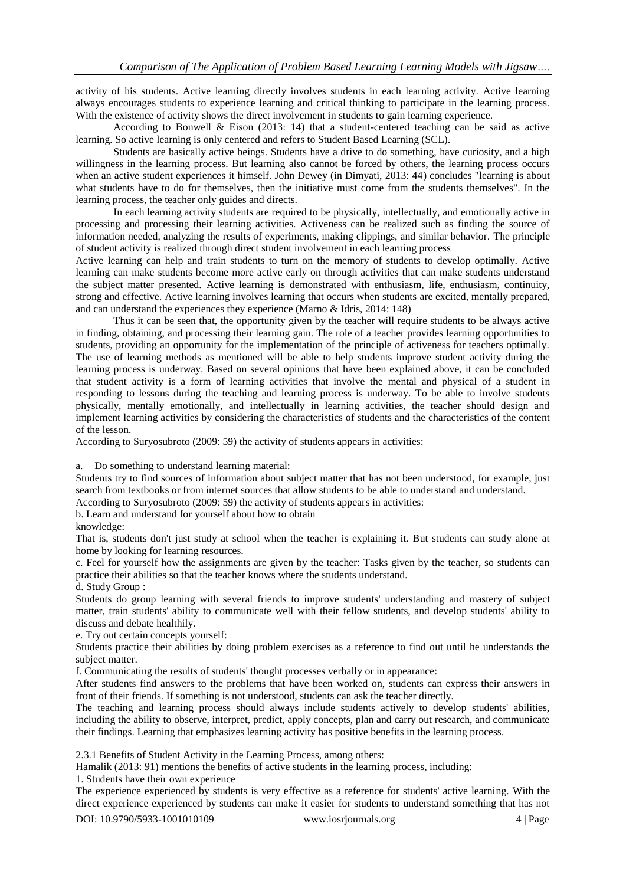activity of his students. Active learning directly involves students in each learning activity. Active learning always encourages students to experience learning and critical thinking to participate in the learning process. With the existence of activity shows the direct involvement in students to gain learning experience.

According to Bonwell & Eison (2013: 14) that a student-centered teaching can be said as active learning. So active learning is only centered and refers to Student Based Learning (SCL).

Students are basically active beings. Students have a drive to do something, have curiosity, and a high willingness in the learning process. But learning also cannot be forced by others, the learning process occurs when an active student experiences it himself. John Dewey (in Dimyati, 2013: 44) concludes "learning is about what students have to do for themselves, then the initiative must come from the students themselves". In the learning process, the teacher only guides and directs.

In each learning activity students are required to be physically, intellectually, and emotionally active in processing and processing their learning activities. Activeness can be realized such as finding the source of information needed, analyzing the results of experiments, making clippings, and similar behavior. The principle of student activity is realized through direct student involvement in each learning process

Active learning can help and train students to turn on the memory of students to develop optimally. Active learning can make students become more active early on through activities that can make students understand the subject matter presented. Active learning is demonstrated with enthusiasm, life, enthusiasm, continuity, strong and effective. Active learning involves learning that occurs when students are excited, mentally prepared, and can understand the experiences they experience (Marno & Idris, 2014: 148)

Thus it can be seen that, the opportunity given by the teacher will require students to be always active in finding, obtaining, and processing their learning gain. The role of a teacher provides learning opportunities to students, providing an opportunity for the implementation of the principle of activeness for teachers optimally. The use of learning methods as mentioned will be able to help students improve student activity during the learning process is underway. Based on several opinions that have been explained above, it can be concluded that student activity is a form of learning activities that involve the mental and physical of a student in responding to lessons during the teaching and learning process is underway. To be able to involve students physically, mentally emotionally, and intellectually in learning activities, the teacher should design and implement learning activities by considering the characteristics of students and the characteristics of the content of the lesson.

According to Suryosubroto (2009: 59) the activity of students appears in activities:

a. Do something to understand learning material:

Students try to find sources of information about subject matter that has not been understood, for example, just search from textbooks or from internet sources that allow students to be able to understand and understand.

According to Suryosubroto (2009: 59) the activity of students appears in activities:

b. Learn and understand for yourself about how to obtain

knowledge:

That is, students don't just study at school when the teacher is explaining it. But students can study alone at home by looking for learning resources.

c. Feel for yourself how the assignments are given by the teacher: Tasks given by the teacher, so students can practice their abilities so that the teacher knows where the students understand.

d. Study Group :

Students do group learning with several friends to improve students' understanding and mastery of subject matter, train students' ability to communicate well with their fellow students, and develop students' ability to discuss and debate healthily.

e. Try out certain concepts yourself:

Students practice their abilities by doing problem exercises as a reference to find out until he understands the subject matter.

f. Communicating the results of students' thought processes verbally or in appearance:

After students find answers to the problems that have been worked on, students can express their answers in front of their friends. If something is not understood, students can ask the teacher directly.

The teaching and learning process should always include students actively to develop students' abilities, including the ability to observe, interpret, predict, apply concepts, plan and carry out research, and communicate their findings. Learning that emphasizes learning activity has positive benefits in the learning process.

2.3.1 Benefits of Student Activity in the Learning Process, among others:

Hamalik (2013: 91) mentions the benefits of active students in the learning process, including:

1. Students have their own experience

The experience experienced by students is very effective as a reference for students' active learning. With the direct experience experienced by students can make it easier for students to understand something that has not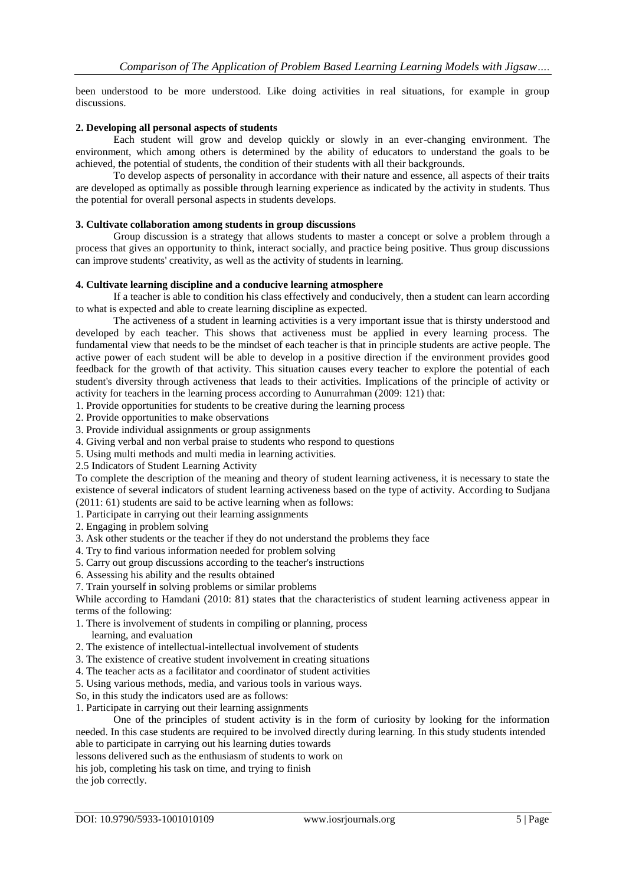been understood to be more understood. Like doing activities in real situations, for example in group discussions.

## **2. Developing all personal aspects of students**

Each student will grow and develop quickly or slowly in an ever-changing environment. The environment, which among others is determined by the ability of educators to understand the goals to be achieved, the potential of students, the condition of their students with all their backgrounds.

To develop aspects of personality in accordance with their nature and essence, all aspects of their traits are developed as optimally as possible through learning experience as indicated by the activity in students. Thus the potential for overall personal aspects in students develops.

## **3. Cultivate collaboration among students in group discussions**

Group discussion is a strategy that allows students to master a concept or solve a problem through a process that gives an opportunity to think, interact socially, and practice being positive. Thus group discussions can improve students' creativity, as well as the activity of students in learning.

## **4. Cultivate learning discipline and a conducive learning atmosphere**

If a teacher is able to condition his class effectively and conducively, then a student can learn according to what is expected and able to create learning discipline as expected.

The activeness of a student in learning activities is a very important issue that is thirsty understood and developed by each teacher. This shows that activeness must be applied in every learning process. The fundamental view that needs to be the mindset of each teacher is that in principle students are active people. The active power of each student will be able to develop in a positive direction if the environment provides good feedback for the growth of that activity. This situation causes every teacher to explore the potential of each student's diversity through activeness that leads to their activities. Implications of the principle of activity or activity for teachers in the learning process according to Aunurrahman (2009: 121) that:

1. Provide opportunities for students to be creative during the learning process

2. Provide opportunities to make observations

3. Provide individual assignments or group assignments

4. Giving verbal and non verbal praise to students who respond to questions

5. Using multi methods and multi media in learning activities.

2.5 Indicators of Student Learning Activity

To complete the description of the meaning and theory of student learning activeness, it is necessary to state the existence of several indicators of student learning activeness based on the type of activity. According to Sudjana (2011: 61) students are said to be active learning when as follows:

1. Participate in carrying out their learning assignments

2. Engaging in problem solving

3. Ask other students or the teacher if they do not understand the problems they face

4. Try to find various information needed for problem solving

5. Carry out group discussions according to the teacher's instructions

6. Assessing his ability and the results obtained

7. Train yourself in solving problems or similar problems

While according to Hamdani (2010: 81) states that the characteristics of student learning activeness appear in terms of the following:

1. There is involvement of students in compiling or planning, process

learning, and evaluation

2. The existence of intellectual-intellectual involvement of students

3. The existence of creative student involvement in creating situations

4. The teacher acts as a facilitator and coordinator of student activities

5. Using various methods, media, and various tools in various ways.

So, in this study the indicators used are as follows:

1. Participate in carrying out their learning assignments

One of the principles of student activity is in the form of curiosity by looking for the information needed. In this case students are required to be involved directly during learning. In this study students intended able to participate in carrying out his learning duties towards

lessons delivered such as the enthusiasm of students to work on

his job, completing his task on time, and trying to finish the job correctly.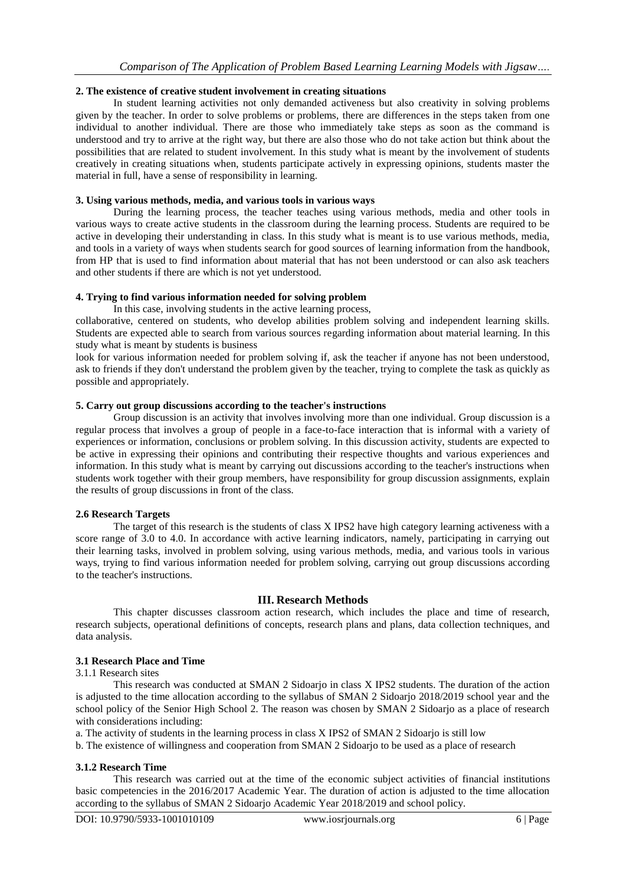## **2. The existence of creative student involvement in creating situations**

In student learning activities not only demanded activeness but also creativity in solving problems given by the teacher. In order to solve problems or problems, there are differences in the steps taken from one individual to another individual. There are those who immediately take steps as soon as the command is understood and try to arrive at the right way, but there are also those who do not take action but think about the possibilities that are related to student involvement. In this study what is meant by the involvement of students creatively in creating situations when, students participate actively in expressing opinions, students master the material in full, have a sense of responsibility in learning.

## **3. Using various methods, media, and various tools in various ways**

During the learning process, the teacher teaches using various methods, media and other tools in various ways to create active students in the classroom during the learning process. Students are required to be active in developing their understanding in class. In this study what is meant is to use various methods, media, and tools in a variety of ways when students search for good sources of learning information from the handbook, from HP that is used to find information about material that has not been understood or can also ask teachers and other students if there are which is not yet understood.

# **4. Trying to find various information needed for solving problem**

In this case, involving students in the active learning process,

collaborative, centered on students, who develop abilities problem solving and independent learning skills. Students are expected able to search from various sources regarding information about material learning. In this study what is meant by students is business

look for various information needed for problem solving if, ask the teacher if anyone has not been understood, ask to friends if they don't understand the problem given by the teacher, trying to complete the task as quickly as possible and appropriately.

## **5. Carry out group discussions according to the teacher's instructions**

Group discussion is an activity that involves involving more than one individual. Group discussion is a regular process that involves a group of people in a face-to-face interaction that is informal with a variety of experiences or information, conclusions or problem solving. In this discussion activity, students are expected to be active in expressing their opinions and contributing their respective thoughts and various experiences and information. In this study what is meant by carrying out discussions according to the teacher's instructions when students work together with their group members, have responsibility for group discussion assignments, explain the results of group discussions in front of the class.

## **2.6 Research Targets**

The target of this research is the students of class X IPS2 have high category learning activeness with a score range of 3.0 to 4.0. In accordance with active learning indicators, namely, participating in carrying out their learning tasks, involved in problem solving, using various methods, media, and various tools in various ways, trying to find various information needed for problem solving, carrying out group discussions according to the teacher's instructions.

## **III. Research Methods**

This chapter discusses classroom action research, which includes the place and time of research, research subjects, operational definitions of concepts, research plans and plans, data collection techniques, and data analysis.

## **3.1 Research Place and Time**

# 3.1.1 Research sites

This research was conducted at SMAN 2 Sidoarjo in class X IPS2 students. The duration of the action is adjusted to the time allocation according to the syllabus of SMAN 2 Sidoarjo 2018/2019 school year and the school policy of the Senior High School 2. The reason was chosen by SMAN 2 Sidoarjo as a place of research with considerations including:

a. The activity of students in the learning process in class X IPS2 of SMAN 2 Sidoarjo is still low

b. The existence of willingness and cooperation from SMAN 2 Sidoarjo to be used as a place of research

## **3.1.2 Research Time**

This research was carried out at the time of the economic subject activities of financial institutions basic competencies in the 2016/2017 Academic Year. The duration of action is adjusted to the time allocation according to the syllabus of SMAN 2 Sidoarjo Academic Year 2018/2019 and school policy.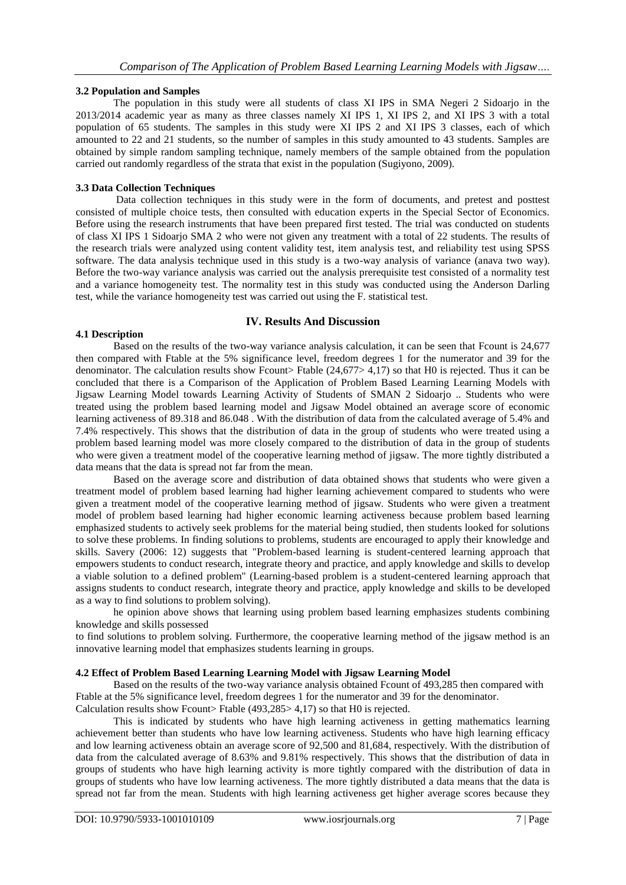## **3.2 Population and Samples**

The population in this study were all students of class XI IPS in SMA Negeri 2 Sidoarjo in the 2013/2014 academic year as many as three classes namely XI IPS 1, XI IPS 2, and XI IPS 3 with a total population of 65 students. The samples in this study were XI IPS 2 and XI IPS 3 classes, each of which amounted to 22 and 21 students, so the number of samples in this study amounted to 43 students. Samples are obtained by simple random sampling technique, namely members of the sample obtained from the population carried out randomly regardless of the strata that exist in the population (Sugiyono, 2009).

## **3.3 Data Collection Techniques**

Data collection techniques in this study were in the form of documents, and pretest and posttest consisted of multiple choice tests, then consulted with education experts in the Special Sector of Economics. Before using the research instruments that have been prepared first tested. The trial was conducted on students of class XI IPS 1 Sidoarjo SMA 2 who were not given any treatment with a total of 22 students. The results of the research trials were analyzed using content validity test, item analysis test, and reliability test using SPSS software. The data analysis technique used in this study is a two-way analysis of variance (anava two way). Before the two-way variance analysis was carried out the analysis prerequisite test consisted of a normality test and a variance homogeneity test. The normality test in this study was conducted using the Anderson Darling test, while the variance homogeneity test was carried out using the F. statistical test.

## **IV. Results And Discussion**

# **4.1 Description**

Based on the results of the two-way variance analysis calculation, it can be seen that Fcount is 24,677 then compared with Ftable at the 5% significance level, freedom degrees 1 for the numerator and 39 for the denominator. The calculation results show Fcount> Ftable (24,677> 4,17) so that H0 is rejected. Thus it can be concluded that there is a Comparison of the Application of Problem Based Learning Learning Models with Jigsaw Learning Model towards Learning Activity of Students of SMAN 2 Sidoarjo .. Students who were treated using the problem based learning model and Jigsaw Model obtained an average score of economic learning activeness of 89.318 and 86.048 . With the distribution of data from the calculated average of 5.4% and 7.4% respectively. This shows that the distribution of data in the group of students who were treated using a problem based learning model was more closely compared to the distribution of data in the group of students who were given a treatment model of the cooperative learning method of jigsaw. The more tightly distributed a data means that the data is spread not far from the mean.

Based on the average score and distribution of data obtained shows that students who were given a treatment model of problem based learning had higher learning achievement compared to students who were given a treatment model of the cooperative learning method of jigsaw. Students who were given a treatment model of problem based learning had higher economic learning activeness because problem based learning emphasized students to actively seek problems for the material being studied, then students looked for solutions to solve these problems. In finding solutions to problems, students are encouraged to apply their knowledge and skills. Savery (2006: 12) suggests that "Problem-based learning is student-centered learning approach that empowers students to conduct research, integrate theory and practice, and apply knowledge and skills to develop a viable solution to a defined problem" (Learning-based problem is a student-centered learning approach that assigns students to conduct research, integrate theory and practice, apply knowledge and skills to be developed as a way to find solutions to problem solving).

he opinion above shows that learning using problem based learning emphasizes students combining knowledge and skills possessed

to find solutions to problem solving. Furthermore, the cooperative learning method of the jigsaw method is an innovative learning model that emphasizes students learning in groups.

## **4.2 Effect of Problem Based Learning Learning Model with Jigsaw Learning Model**

 Based on the results of the two-way variance analysis obtained Fcount of 493,285 then compared with Ftable at the 5% significance level, freedom degrees 1 for the numerator and 39 for the denominator. Calculation results show Fcount> Ftable  $(493,285>4,17)$  so that H0 is rejected.

This is indicated by students who have high learning activeness in getting mathematics learning achievement better than students who have low learning activeness. Students who have high learning efficacy and low learning activeness obtain an average score of 92,500 and 81,684, respectively. With the distribution of data from the calculated average of 8.63% and 9.81% respectively. This shows that the distribution of data in groups of students who have high learning activity is more tightly compared with the distribution of data in groups of students who have low learning activeness. The more tightly distributed a data means that the data is spread not far from the mean. Students with high learning activeness get higher average scores because they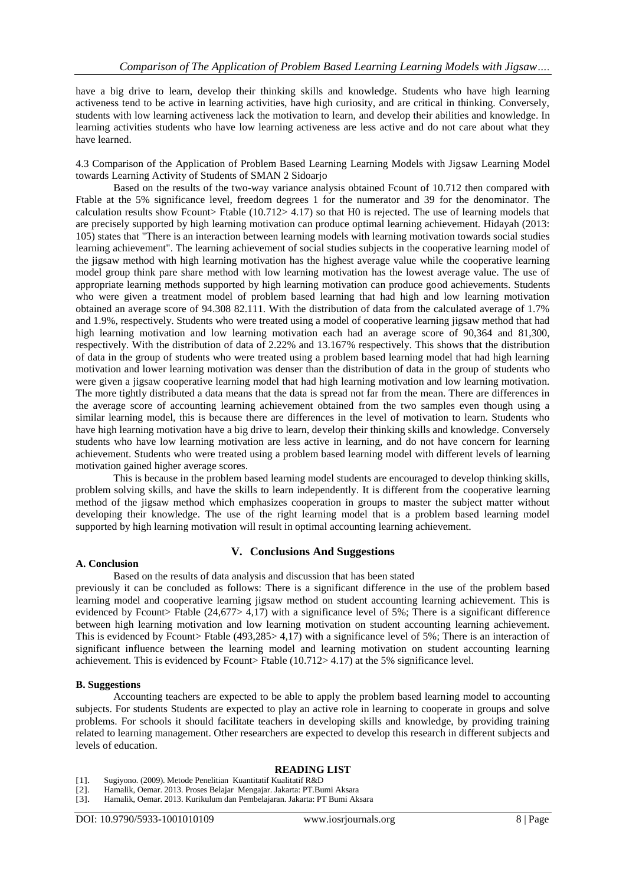have a big drive to learn, develop their thinking skills and knowledge. Students who have high learning activeness tend to be active in learning activities, have high curiosity, and are critical in thinking. Conversely, students with low learning activeness lack the motivation to learn, and develop their abilities and knowledge. In learning activities students who have low learning activeness are less active and do not care about what they have learned.

4.3 Comparison of the Application of Problem Based Learning Learning Models with Jigsaw Learning Model towards Learning Activity of Students of SMAN 2 Sidoarjo

Based on the results of the two-way variance analysis obtained Fcount of 10.712 then compared with Ftable at the 5% significance level, freedom degrees 1 for the numerator and 39 for the denominator. The calculation results show Fcount> Ftable (10.712> 4.17) so that H0 is rejected. The use of learning models that are precisely supported by high learning motivation can produce optimal learning achievement. Hidayah (2013: 105) states that "There is an interaction between learning models with learning motivation towards social studies learning achievement". The learning achievement of social studies subjects in the cooperative learning model of the jigsaw method with high learning motivation has the highest average value while the cooperative learning model group think pare share method with low learning motivation has the lowest average value. The use of appropriate learning methods supported by high learning motivation can produce good achievements. Students who were given a treatment model of problem based learning that had high and low learning motivation obtained an average score of 94.308 82.111. With the distribution of data from the calculated average of 1.7% and 1.9%, respectively. Students who were treated using a model of cooperative learning jigsaw method that had high learning motivation and low learning motivation each had an average score of 90,364 and 81,300, respectively. With the distribution of data of 2.22% and 13.167% respectively. This shows that the distribution of data in the group of students who were treated using a problem based learning model that had high learning motivation and lower learning motivation was denser than the distribution of data in the group of students who were given a jigsaw cooperative learning model that had high learning motivation and low learning motivation. The more tightly distributed a data means that the data is spread not far from the mean. There are differences in the average score of accounting learning achievement obtained from the two samples even though using a similar learning model, this is because there are differences in the level of motivation to learn. Students who have high learning motivation have a big drive to learn, develop their thinking skills and knowledge. Conversely students who have low learning motivation are less active in learning, and do not have concern for learning achievement. Students who were treated using a problem based learning model with different levels of learning motivation gained higher average scores.

This is because in the problem based learning model students are encouraged to develop thinking skills, problem solving skills, and have the skills to learn independently. It is different from the cooperative learning method of the jigsaw method which emphasizes cooperation in groups to master the subject matter without developing their knowledge. The use of the right learning model that is a problem based learning model supported by high learning motivation will result in optimal accounting learning achievement.

## **V. Conclusions And Suggestions**

#### **A. Conclusion**

Based on the results of data analysis and discussion that has been stated previously it can be concluded as follows: There is a significant difference in the use of the problem based learning model and cooperative learning jigsaw method on student accounting learning achievement. This is evidenced by Fcount> Ftable (24,677> 4,17) with a significance level of 5%; There is a significant difference between high learning motivation and low learning motivation on student accounting learning achievement. This is evidenced by Fcount> Ftable (493,285> 4,17) with a significance level of 5%; There is an interaction of significant influence between the learning model and learning motivation on student accounting learning achievement. This is evidenced by Fcount> Ftable  $(10.712 > 4.17)$  at the 5% significance level.

## **B. Suggestions**

Accounting teachers are expected to be able to apply the problem based learning model to accounting subjects. For students Students are expected to play an active role in learning to cooperate in groups and solve problems. For schools it should facilitate teachers in developing skills and knowledge, by providing training related to learning management. Other researchers are expected to develop this research in different subjects and levels of education.

#### **READING LIST**

- [1]. Sugiyono. (2009). Metode Penelitian Kuantitatif Kualitatif R&D
- [2]. Hamalik, Oemar. 2013. Proses Belajar Mengajar. Jakarta: PT.Bumi Aksara
- [3]. Hamalik, Oemar. 2013. Kurikulum dan Pembelajaran. Jakarta: PT Bumi Aksara